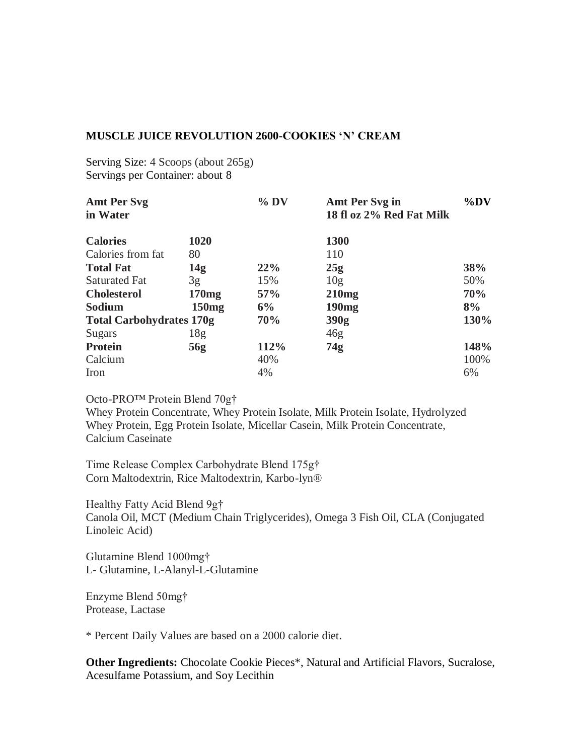## **MUSCLE JUICE REVOLUTION 2600-COOKIES 'N' CREAM**

Serving Size: 4 Scoops (about 265g) Servings per Container: about 8

| <b>Amt Per Svg</b><br>in Water  |                 | $%$ DV | Amt Per Svg in<br>18 fl oz 2% Red Fat Milk | $\%DV$ |
|---------------------------------|-----------------|--------|--------------------------------------------|--------|
| <b>Calories</b>                 | 1020            |        | <b>1300</b>                                |        |
| Calories from fat               | 80              |        | 110                                        |        |
| <b>Total Fat</b>                | 14g             | 22%    | 25g                                        | 38%    |
| <b>Saturated Fat</b>            | 3g              | 15%    | 10g                                        | 50%    |
| <b>Cholesterol</b>              | 170mg           | 57%    | 210mg                                      | 70%    |
| Sodium                          | 150mg           | 6%     | 190 <sub>mg</sub>                          | 8%     |
| <b>Total Carbohydrates 170g</b> |                 | 70%    | 390g                                       | 130%   |
| Sugars                          | 18 <sub>g</sub> |        | 46g                                        |        |
| <b>Protein</b>                  | 56g             | 112%   | 74g                                        | 148%   |
| Calcium                         |                 | 40%    |                                            | 100%   |
| Iron                            |                 | 4%     |                                            | 6%     |

Octo-PRO™ Protein Blend 70g†

Whey Protein Concentrate, Whey Protein Isolate, Milk Protein Isolate, Hydrolyzed Whey Protein, Egg Protein Isolate, Micellar Casein, Milk Protein Concentrate, Calcium Caseinate

Time Release Complex Carbohydrate Blend 175g† Corn Maltodextrin, Rice Maltodextrin, Karbo-lyn®

Healthy Fatty Acid Blend 9g† Canola Oil, MCT (Medium Chain Triglycerides), Omega 3 Fish Oil, CLA (Conjugated Linoleic Acid)

Glutamine Blend 1000mg† L- Glutamine, L-Alanyl-L-Glutamine

Enzyme Blend 50mg† Protease, Lactase

\* Percent Daily Values are based on a 2000 calorie diet.

**Other Ingredients:** Chocolate Cookie Pieces\*, Natural and Artificial Flavors, Sucralose, Acesulfame Potassium, and Soy Lecithin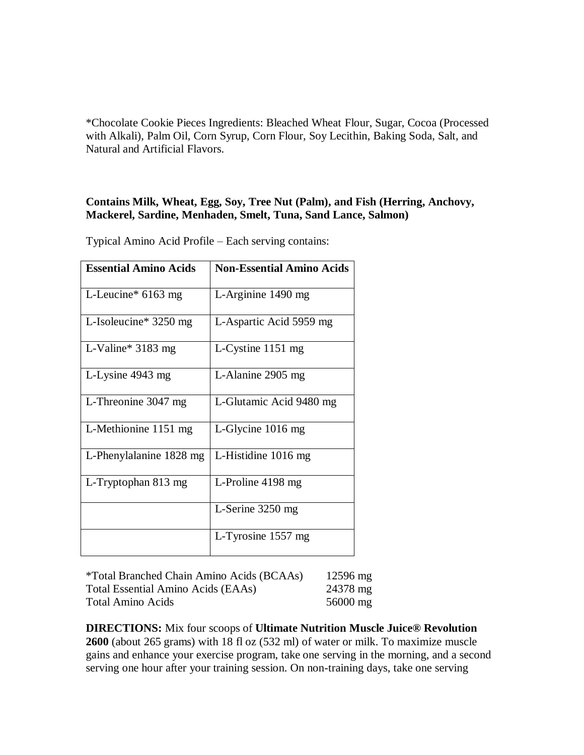\*Chocolate Cookie Pieces Ingredients: Bleached Wheat Flour, Sugar, Cocoa (Processed with Alkali), Palm Oil, Corn Syrup, Corn Flour, Soy Lecithin, Baking Soda, Salt, and Natural and Artificial Flavors.

## **Contains Milk, Wheat, Egg, Soy, Tree Nut (Palm), and Fish (Herring, Anchovy, Mackerel, Sardine, Menhaden, Smelt, Tuna, Sand Lance, Salmon)**

Typical Amino Acid Profile – Each serving contains:

| <b>Essential Amino Acids</b> | <b>Non-Essential Amino Acids</b> |
|------------------------------|----------------------------------|
| L-Leucine* 6163 mg           | L-Arginine 1490 mg               |
| L-Isoleucine* 3250 mg        | L-Aspartic Acid 5959 mg          |
| L-Valine* $3183$ mg          | L-Cystine $1151$ mg              |
| L-Lysine 4943 mg             | L-Alanine 2905 mg                |
| L-Threonine 3047 mg          | L-Glutamic Acid 9480 mg          |
| L-Methionine 1151 mg         | L-Glycine $1016$ mg              |
| L-Phenylalanine 1828 mg      | L-Histidine 1016 mg              |
| L-Tryptophan 813 mg          | L-Proline $4198$ mg              |
|                              | L-Serine 3250 mg                 |
|                              | L-Tyrosine 1557 mg               |

| <i>*Total Branched Chain Amino Acids (BCAAs)</i> | $12596 \text{ mg}$ |
|--------------------------------------------------|--------------------|
| Total Essential Amino Acids (EAAs)               | 24378 mg           |
| <b>Total Amino Acids</b>                         | $56000 \text{ mg}$ |

**DIRECTIONS:** Mix four scoops of **Ultimate Nutrition Muscle Juice® Revolution 2600** (about 265 grams) with 18 fl oz (532 ml) of water or milk. To maximize muscle gains and enhance your exercise program, take one serving in the morning, and a second serving one hour after your training session. On non-training days, take one serving